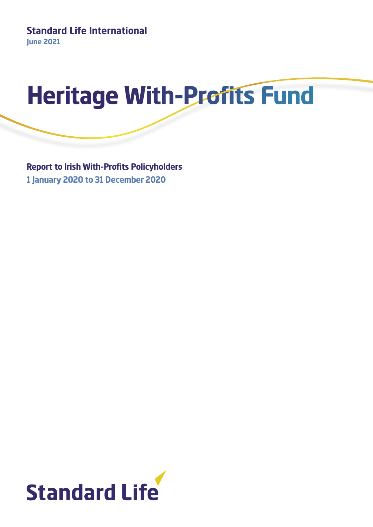

**Report to Irish With-Profits Policyholders 1 January 2020 to 31 December 2020**

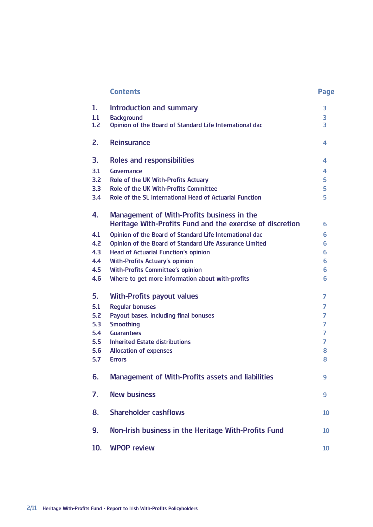|                  | <b>Contents</b>                                                                                         | Page |
|------------------|---------------------------------------------------------------------------------------------------------|------|
| 1.               | <b>Introduction and summary</b>                                                                         | 3    |
| 1.1              | <b>Background</b>                                                                                       | 3    |
| 1.2 <sub>2</sub> | Opinion of the Board of Standard Life International dac                                                 | 3    |
| 2.               | <b>Reinsurance</b>                                                                                      | 4    |
| 3.               | <b>Roles and responsibilities</b>                                                                       | 4    |
| 3.1              | Governance                                                                                              | 4    |
| 3.2              | Role of the UK With-Profits Actuary                                                                     | 5    |
| 3.3 <sub>2</sub> | Role of the UK With-Profits Committee                                                                   | 5    |
| 3.4              | Role of the SL International Head of Actuarial Function                                                 | 5    |
| 4.               | Management of With-Profits business in the<br>Heritage With-Profits Fund and the exercise of discretion | 6    |
| 4.1              | Opinion of the Board of Standard Life International dac                                                 | 6    |
| 4.2              | Opinion of the Board of Standard Life Assurance Limited                                                 | 6    |
| 4.3              | <b>Head of Actuarial Function's opinion</b>                                                             | 6    |
| 4.4              | <b>With-Profits Actuary's opinion</b>                                                                   | 6    |
| 4.5              | <b>With-Profits Committee's opinion</b>                                                                 | 6    |
| 4.6              | Where to get more information about with-profits                                                        | 6    |
| 5.               | <b>With-Profits payout values</b>                                                                       | 7    |
| 5.1              | <b>Regular bonuses</b>                                                                                  | 7    |
| 5.2              | Payout bases, including final bonuses                                                                   | 7    |
| 5.3              | <b>Smoothing</b>                                                                                        | 7    |
| 5.4              | <b>Guarantees</b>                                                                                       | 7    |
| 5.5              | <b>Inherited Estate distributions</b>                                                                   | 7    |
| 5.6              | <b>Allocation of expenses</b>                                                                           | 8    |
| 5.7              | <b>Errors</b>                                                                                           | 8    |
| 6.               | <b>Management of With-Profits assets and liabilities</b>                                                | 9    |
| 7.               | <b>New business</b>                                                                                     | 9    |
| 8.               | <b>Shareholder cashflows</b>                                                                            | 10   |
| 9.               | Non-Irish business in the Heritage With-Profits Fund                                                    | 10   |
| 10.              | <b>WPOP review</b>                                                                                      | 10   |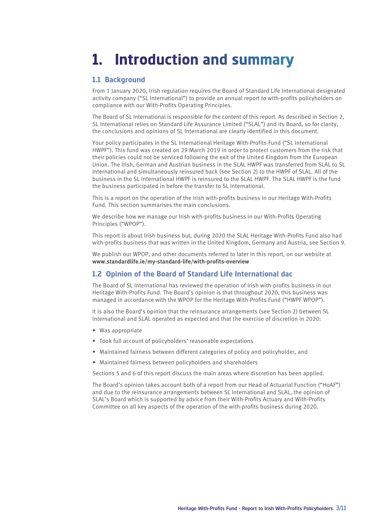# **1. Introduction and summary**

#### **1.1 Background**

From 1 January 2020, Irish regulation requires the Board of Standard Life International designated activity company ("SL International") to provide an annual report to with-profits policyholders on compliance with our With-Profits Operating Principles.

The Board of SL International is responsible for the content of this report. As described in Section 2, SL International relies on Standard Life Assurance Limited ("SLAL") and its Board, so for clarity, the conclusions and opinions of SL International are clearly identified in this document.

Your policy participates in the SL International Heritage With-Profits Fund ("SL International HWPF"). This fund was created on 29 March 2019 in order to protect customers from the risk that their policies could not be serviced following the exit of the United Kingdom from the European Union. The Irish, German and Austrian business in the SLAL HWPF was transferred from SLAL to SL International and simultaneously reinsured back (see Section 2) to the HWPF of SLAL. All of the business in the SL International HWPF is reinsured to the SLAL HWPF. The SLAL HWPF is the fund the business participated in before the transfer to SL International.

This is a report on the operation of the Irish with-profits business in our Heritage With-Profits Fund. This section summarises the main conclusions.

We describe how we manage our Irish with-profits business in our With-Profits Operating Principles ("WPOP").

This report is about Irish business but, during 2020 the SLAL Heritage With-Profits Fund also had with-profits business that was written in the United Kingdom, Germany and Austria, see Section 9.

We publish our WPOP, and other documents referred to later in this report, on our website at **www.standardlife.ie/my-standard-life/with-profits-overview**

#### **1.2 Opinion of the Board of Standard Life International dac**

The Board of SL International has reviewed the operation of Irish with-profits business in our Heritage With-Profits Fund. The Board's opinion is that throughout 2020, this business was managed in accordance with the WPOP for the Heritage With-Profits Fund ("HWPF WPOP").

It is also the Board's opinion that the reinsurance arrangements (see Section 2) between SL International and SLAL operated as expected and that the exercise of discretion in 2020:

- Was appropriate
- Took full account of policyholders' reasonable expectations
- Maintained fairness between different categories of policy and policyholder, and
- Maintained fairness between policyholders and shareholders

Sections 5 and 6 of this report discuss the main areas where discretion has been applied.

The Board's opinion takes account both of a report from our Head of Actuarial Function ("HoAF") and due to the reinsurance arrangements between SL International and SLAL, the opinion of SLAL's Board which is supported by advice from their With-Profits Actuary and With-Profits Committee on all key aspects of the operation of the with-profits business during 2020.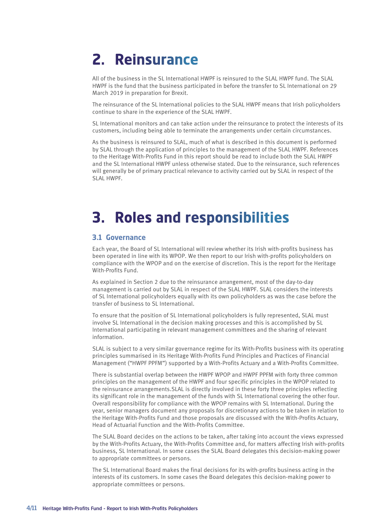# **2. Reinsurance**

All of the business in the SL International HWPF is reinsured to the SLAL HWPF fund. The SLAL HWPF is the fund that the business participated in before the transfer to SL International on 29 March 2019 in preparation for Brexit.

The reinsurance of the SL International policies to the SLAL HWPF means that Irish policyholders continue to share in the experience of the SLAL HWPF.

SL International monitors and can take action under the reinsurance to protect the interests of its customers, including being able to terminate the arrangements under certain circumstances.

As the business is reinsured to SLAL, much of what is described in this document is performed by SLAL through the application of principles to the management of the SLAL HWPF. References to the Heritage With-Profits Fund in this report should be read to include both the SLAL HWPF and the SL International HWPF unless otherwise stated. Due to the reinsurance, such references will generally be of primary practical relevance to activity carried out by SLAL in respect of the SLAL HWPF.

# **3. Roles and responsibilities**

#### **3.1 Governance**

Each year, the Board of SL International will review whether its Irish with-profits business has been operated in line with its WPOP. We then report to our Irish with-profits policyholders on compliance with the WPOP and on the exercise of discretion. This is the report for the Heritage With-Profits Fund.

As explained in Section 2 due to the reinsurance arrangement, most of the day-to-day management is carried out by SLAL in respect of the SLAL HWPF. SLAL considers the interests of SL International policyholders equally with its own policyholders as was the case before the transfer of business to SL International.

To ensure that the position of SL International policyholders is fully represented, SLAL must involve SL International in the decision making processes and this is accomplished by SL International participating in relevant management committees and the sharing of relevant information.

SLAL is subject to a very similar governance regime for its With-Profits business with its operating principles summarised in its Heritage With-Profits Fund Principles and Practices of Financial Management ("HWPF PPFM") supported by a With-Profits Actuary and a With-Profits Committee.

There is substantial overlap between the HWPF WPOP and HWPF PPFM with forty three common principles on the management of the HWPF and four specific principles in the WPOP related to the reinsurance arrangements.SLAL is directly involved in these forty three principles reflecting its significant role in the management of the funds with SL International covering the other four. Overall responsibility for compliance with the WPOP remains with SL International. During the year, senior managers document any proposals for discretionary actions to be taken in relation to the Heritage With-Profits Fund and those proposals are discussed with the With-Profits Actuary, Head of Actuarial Function and the With-Profits Committee.

The SLAL Board decides on the actions to be taken, after taking into account the views expressed by the With-Profits Actuary, the With-Profits Committee and, for matters affecting Irish with-profits business, SL International. In some cases the SLAL Board delegates this decision-making power to appropriate committees or persons.

The SL International Board makes the final decisions for its with-profits business acting in the interests of its customers. In some cases the Board delegates this decision-making power to appropriate committees or persons.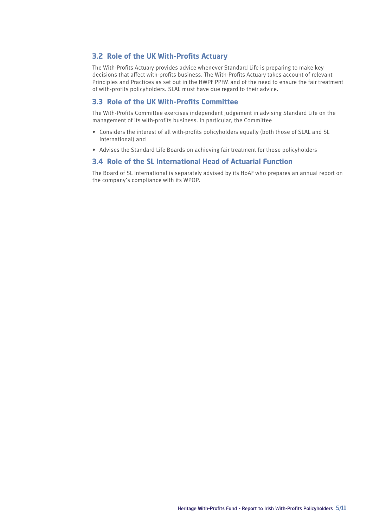#### **3.2 Role of the UK With-Profits Actuary**

The With-Profits Actuary provides advice whenever Standard Life is preparing to make key decisions that affect with-profits business. The With-Profits Actuary takes account of relevant Principles and Practices as set out in the HWPF PPFM and of the need to ensure the fair treatment of with-profits policyholders. SLAL must have due regard to their advice.

#### **3.3 Role of the UK With-Profits Committee**

The With-Profits Committee exercises independent judgement in advising Standard Life on the management of its with-profits business. In particular, the Committee

- Considers the interest of all with-profits policyholders equally (both those of SLAL and SL international) and
- Advises the Standard Life Boards on achieving fair treatment for those policyholders

#### **3.4 Role of the SL International Head of Actuarial Function**

The Board of SL International is separately advised by its HoAF who prepares an annual report on the company's compliance with its WPOP.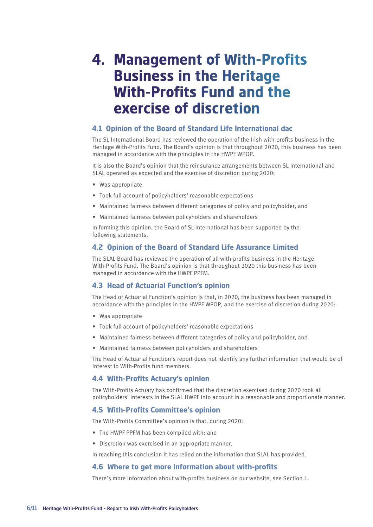### **4. Management of With-Profits Business in the Heritage With-Profits Fund and the exercise of discretion**

#### **4.1 Opinion of the Board of Standard Life International dac**

The SL International Board has reviewed the operation of the Irish with-profits business in the Heritage With-Profits Fund. The Board's opinion is that throughout 2020, this business has been managed in accordance with the principles in the HWPF WPOP.

It is also the Board's opinion that the reinsurance arrangements between SL International and SLAL operated as expected and the exercise of discretion during 2020:

- Was appropriate
- Took full account of policyholders' reasonable expectations
- Maintained fairness between different categories of policy and policyholder, and
- Maintained fairness between policyholders and shareholders

In forming this opinion, the Board of SL International has been supported by the following statements.

#### **4.2 Opinion of the Board of Standard Life Assurance Limited**

The SLAL Board has reviewed the operation of all with-profits business in the Heritage With-Profits Fund. The Board's opinion is that throughout 2020 this business has been managed in accordance with the HWPF PPFM.

#### **4.3 Head of Actuarial Function's opinion**

The Head of Actuarial Function's opinion is that, in 2020, the business has been managed in accordance with the principles in the HWPF WPOP, and the exercise of discretion during 2020:

- Was appropriate
- Took full account of policyholders' reasonable expectations
- Maintained fairness between different categories of policy and policyholder, and
- Maintained fairness between policyholders and shareholders

The Head of Actuarial Function's report does not identify any further information that would be of interest to With-Profits fund members.

#### **4.4 With-Profits Actuary's opinion**

The With-Profits Actuary has confirmed that the discretion exercised during 2020 took all policyholders' interests in the SLAL HWPF into account in a reasonable and proportionate manner.

#### **4.5 With-Profits Committee's opinion**

The With-Profits Committee's opinion is that, during 2020:

- The HWPF PPFM has been complied with; and
- Discretion was exercised in an appropriate manner.

In reaching this conclusion it has relied on the information that SLAL has provided.

#### **4.6 Where to get more information about with-profits**

There's more information about with-profits business on our website, see Section 1.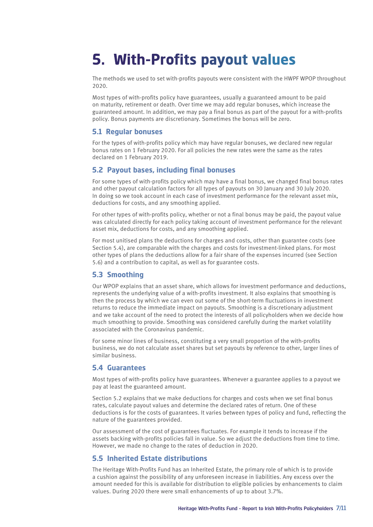# **5. With-Profits payout values**

The methods we used to set with-profits payouts were consistent with the HWPF WPOP throughout 2020.

Most types of with-profits policy have guarantees, usually a guaranteed amount to be paid on maturity, retirement or death. Over time we may add regular bonuses, which increase the guaranteed amount. In addition, we may pay a final bonus as part of the payout for a with-profits policy. Bonus payments are discretionary. Sometimes the bonus will be zero.

#### **5.1 Regular bonuses**

For the types of with-profits policy which may have regular bonuses, we declared new regular bonus rates on 1 February 2020. For all policies the new rates were the same as the rates declared on 1 February 2019.

#### **5.2 Payout bases, including final bonuses**

For some types of with-profits policy which may have a final bonus, we changed final bonus rates and other payout calculation factors for all types of payouts on 30 January and 30 July 2020. In doing so we took account in each case of investment performance for the relevant asset mix, deductions for costs, and any smoothing applied.

For other types of with-profits policy, whether or not a final bonus may be paid, the payout value was calculated directly for each policy taking account of investment performance for the relevant asset mix, deductions for costs, and any smoothing applied.

For most unitised plans the deductions for charges and costs, other than guarantee costs (see Section 5.4), are comparable with the charges and costs for investment-linked plans. For most other types of plans the deductions allow for a fair share of the expenses incurred (see Section 5.6) and a contribution to capital, as well as for guarantee costs.

#### **5.3 Smoothing**

Our WPOP explains that an asset share, which allows for investment performance and deductions, represents the underlying value of a with-profits investment. It also explains that smoothing is then the process by which we can even out some of the short-term fluctuations in investment returns to reduce the immediate impact on payouts. Smoothing is a discretionary adjustment and we take account of the need to protect the interests of all policyholders when we decide how much smoothing to provide. Smoothing was considered carefully during the market volatility associated with the Coronavirus pandemic.

For some minor lines of business, constituting a very small proportion of the with-profits business, we do not calculate asset shares but set payouts by reference to other, larger lines of similar business.

#### **5.4 Guarantees**

Most types of with-profits policy have guarantees. Whenever a guarantee applies to a payout we pay at least the guaranteed amount.

Section 5.2 explains that we make deductions for charges and costs when we set final bonus rates, calculate payout values and determine the declared rates of return. One of these deductions is for the costs of guarantees. It varies between types of policy and fund, reflecting the nature of the guarantees provided.

Our assessment of the cost of guarantees fluctuates. For example it tends to increase if the assets backing with-profits policies fall in value. So we adjust the deductions from time to time. However, we made no change to the rates of deduction in 2020.

#### **5.5 Inherited Estate distributions**

The Heritage With-Profits Fund has an Inherited Estate, the primary role of which is to provide a cushion against the possibility of any unforeseen increase in liabilities. Any excess over the amount needed for this is available for distribution to eligible policies by enhancements to claim values. During 2020 there were small enhancements of up to about 3.7%.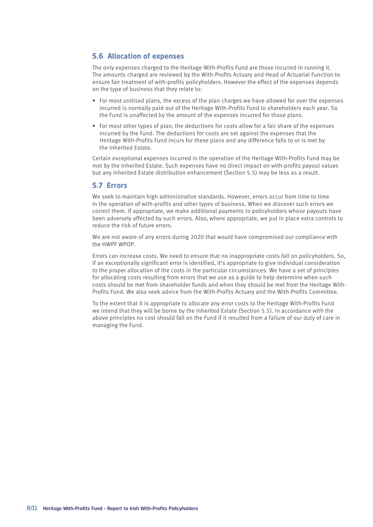#### **5.6 Allocation of expenses**

The only expenses charged to the Heritage With-Profits Fund are those incurred in running it. The amounts charged are reviewed by the With-Profits Actuary and Head of Actuarial Function to ensure fair treatment of with-profits policyholders. However the effect of the expenses depends on the type of business that they relate to:

- For most unitised plans, the excess of the plan charges we have allowed for over the expenses incurred is normally paid out of the Heritage With-Profits Fund to shareholders each year. So the Fund is unaffected by the amount of the expenses incurred for those plans.
- For most other types of plan, the deductions for costs allow for a fair share of the expenses incurred by the Fund. The deductions for costs are set against the expenses that the Heritage With-Profits Fund incurs for these plans and any difference falls to or is met by the Inherited Estate.

Certain exceptional expenses incurred in the operation of the Heritage With-Profits Fund may be met by the Inherited Estate. Such expenses have no direct impact on with-profits payout values but any Inherited Estate distribution enhancement (Section 5.5) may be less as a result.

#### **5.7 Errors**

We seek to maintain high administrative standards. However, errors occur from time to time in the operation of with-profits and other types of business. When we discover such errors we correct them. If appropriate, we make additional payments to policyholders whose payouts have been adversely affected by such errors. Also, where appropriate, we put in place extra controls to reduce the risk of future errors.

We are not aware of any errors during 2020 that would have compromised our compliance with the HWPF WPOP.

Errors can increase costs. We need to ensure that no inappropriate costs fall on policyholders. So, if an exceptionally significant error is identified, it's appropriate to give individual consideration to the proper allocation of the costs in the particular circumstances. We have a set of principles for allocating costs resulting from errors that we use as a guide to help determine when such costs should be met from shareholder funds and when they should be met from the Heritage With-Profits Fund. We also seek advice from the With-Profits Actuary and the With-Profits Committee.

To the extent that it is appropriate to allocate any error costs to the Heritage With-Profits Fund we intend that they will be borne by the Inherited Estate (Section 5.5). In accordance with the above principles no cost should fall on the Fund if it resulted from a failure of our duty of care in managing the Fund.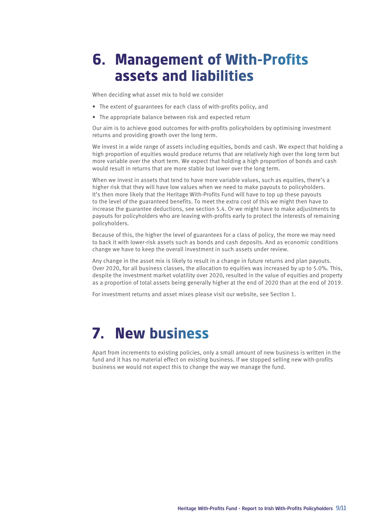# **6. Management of With-Profits assets and liabilities**

When deciding what asset mix to hold we consider

- The extent of guarantees for each class of with-profits policy, and
- The appropriate balance between risk and expected return

Our aim is to achieve good outcomes for with-profits policyholders by optimising investment returns and providing growth over the long term.

We invest in a wide range of assets including equities, bonds and cash. We expect that holding a high proportion of equities would produce returns that are relatively high over the long term but more variable over the short term. We expect that holding a high proportion of bonds and cash would result in returns that are more stable but lower over the long term.

When we invest in assets that tend to have more variable values, such as equities, there's a higher risk that they will have low values when we need to make payouts to policyholders. It's then more likely that the Heritage With-Profits Fund will have to top up these payouts to the level of the guaranteed benefits. To meet the extra cost of this we might then have to increase the guarantee deductions, see section 5.4. Or we might have to make adjustments to payouts for policyholders who are leaving with-profits early to protect the interests of remaining policyholders.

Because of this, the higher the level of guarantees for a class of policy, the more we may need to back it with lower-risk assets such as bonds and cash deposits. And as economic conditions change we have to keep the overall investment in such assets under review.

Any change in the asset mix is likely to result in a change in future returns and plan payouts. Over 2020, for all business classes, the allocation to equities was increased by up to 5.0%. This, despite the investment market volatility over 2020, resulted in the value of equities and property as a proportion of total assets being generally higher at the end of 2020 than at the end of 2019.

For investment returns and asset mixes please visit our website, see Section 1.

# **7. New business**

Apart from increments to existing policies, only a small amount of new business is written in the fund and it has no material effect on existing business. If we stopped selling new with-profits business we would not expect this to change the way we manage the fund.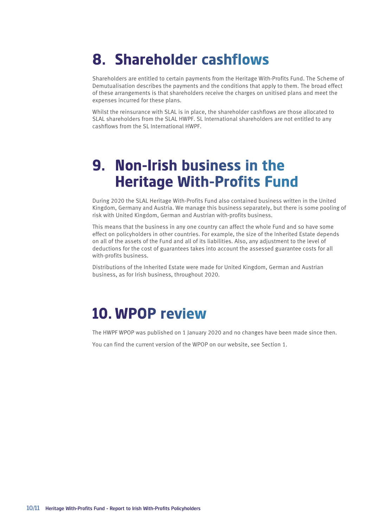# **8. Shareholder cashflows**

Shareholders are entitled to certain payments from the Heritage With-Profits Fund. The Scheme of Demutualisation describes the payments and the conditions that apply to them. The broad effect of these arrangements is that shareholders receive the charges on unitised plans and meet the expenses incurred for these plans.

Whilst the reinsurance with SLAL is in place, the shareholder cashflows are those allocated to SLAL shareholders from the SLAL HWPF. SL International shareholders are not entitled to any cashflows from the SL International HWPF.

# **9. Non-Irish business in the Heritage With-Profits Fund**

During 2020 the SLAL Heritage With-Profits Fund also contained business written in the United Kingdom, Germany and Austria. We manage this business separately, but there is some pooling of risk with United Kingdom, German and Austrian with-profits business.

This means that the business in any one country can affect the whole Fund and so have some effect on policyholders in other countries. For example, the size of the Inherited Estate depends on all of the assets of the Fund and all of its liabilities. Also, any adjustment to the level of deductions for the cost of guarantees takes into account the assessed guarantee costs for all with-profits business.

Distributions of the Inherited Estate were made for United Kingdom, German and Austrian business, as for Irish business, throughout 2020.

# **10. WPOP review**

The HWPF WPOP was published on 1 January 2020 and no changes have been made since then.

You can find the current version of the WPOP on our website, see Section 1.